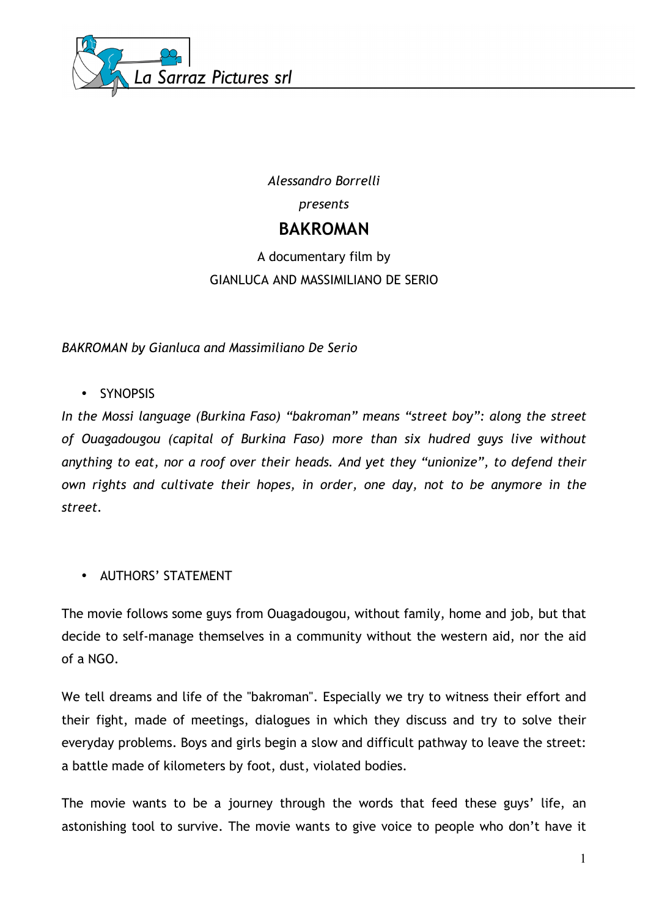

*Alessandro Borrelli presents* **BAKROMAN** 

# A documentary film by GIANLUCA AND MASSIMILIANO DE SERIO

*BAKROMAN by Gianluca and Massimiliano De Serio*

• SYNOPSIS

*In the Mossi language (Burkina Faso) "bakroman" means "street boy": along the street of Ouagadougou (capital of Burkina Faso) more than six hudred guys live without anything to eat, nor a roof over their heads. And yet they "unionize", to defend their own rights and cultivate their hopes, in order, one day, not to be anymore in the street.*

• AUTHORS' STATEMENT

The movie follows some guys from Ouagadougou, without family, home and job, but that decide to self-manage themselves in a community without the western aid, nor the aid of a NGO.

We tell dreams and life of the "bakroman". Especially we try to witness their effort and their fight, made of meetings, dialogues in which they discuss and try to solve their everyday problems. Boys and girls begin a slow and difficult pathway to leave the street: a battle made of kilometers by foot, dust, violated bodies.

The movie wants to be a journey through the words that feed these guys' life, an astonishing tool to survive. The movie wants to give voice to people who don't have it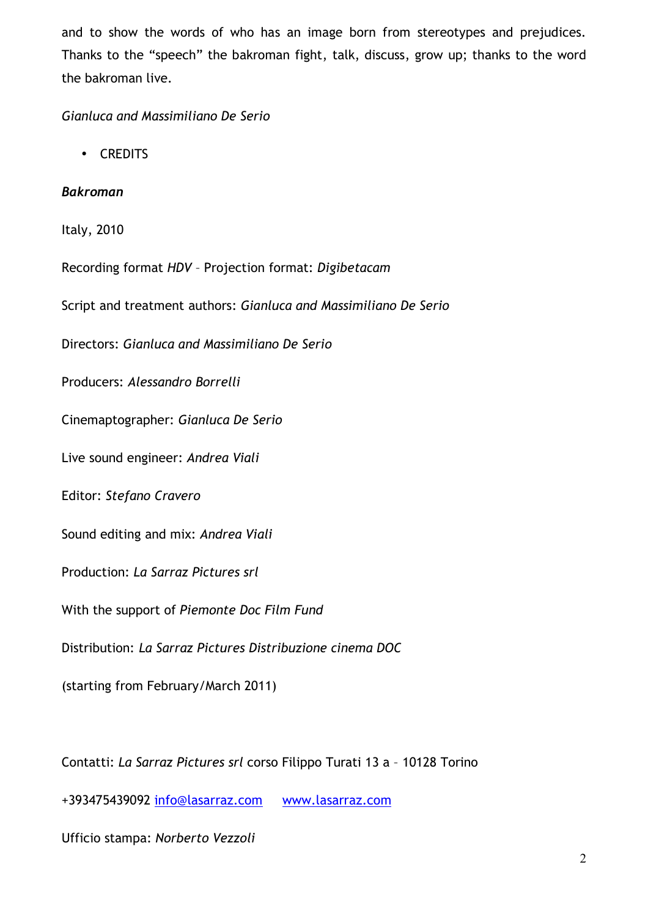and to show the words of who has an image born from stereotypes and prejudices. Thanks to the "speech" the bakroman fight, talk, discuss, grow up; thanks to the word the bakroman live.

## *Gianluca and Massimiliano De Serio*

• CREDITS

## *Bakroman*

Italy, 2010

Recording format *HDV* – Projection format: *Digibetacam*

Script and treatment authors: *Gianluca and Massimiliano De Serio*

Directors: *Gianluca and Massimiliano De Serio*

Producers: *Alessandro Borrelli*

Cinemaptographer: *Gianluca De Serio*

Live sound engineer: *Andrea Viali*

Editor: *Stefano Cravero*

Sound editing and mix: *Andrea Viali*

Production: *La Sarraz Pictures srl*

With the support of *Piemonte Doc Film Fund*

Distribution: *La Sarraz Pictures Distribuzione cinema DOC* 

(starting from February/March 2011)

Contatti: *La Sarraz Pictures srl* corso Filippo Turati 13 a – 10128 Torino

+393475439092 info@lasarraz.com www.lasarraz.com

Ufficio stampa: *Norberto Vezzoli*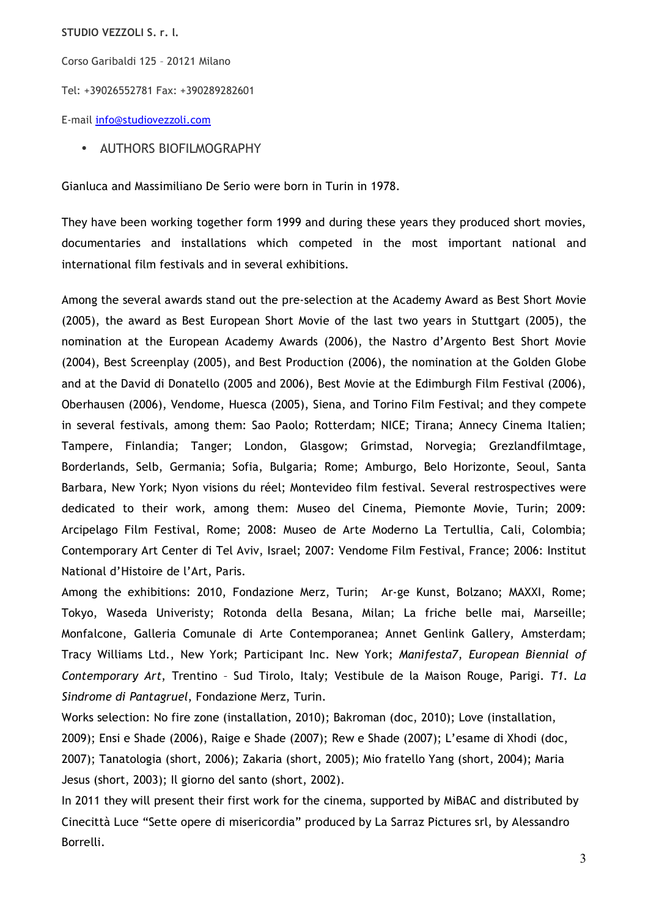**STUDIO VEZZOLI S. r. l.**

Corso Garibaldi 125 – 20121 Milano

Tel: +39026552781 Fax: +390289282601

E-mail info@studiovezzoli.com

• AUTHORS BIOFILMOGRAPHY

Gianluca and Massimiliano De Serio were born in Turin in 1978.

They have been working together form 1999 and during these years they produced short movies, documentaries and installations which competed in the most important national and international film festivals and in several exhibitions.

Among the several awards stand out the pre-selection at the Academy Award as Best Short Movie (2005), the award as Best European Short Movie of the last two years in Stuttgart (2005), the nomination at the European Academy Awards (2006), the Nastro d'Argento Best Short Movie (2004), Best Screenplay (2005), and Best Production (2006), the nomination at the Golden Globe and at the David di Donatello (2005 and 2006), Best Movie at the Edimburgh Film Festival (2006), Oberhausen (2006), Vendome, Huesca (2005), Siena, and Torino Film Festival; and they compete in several festivals, among them: Sao Paolo; Rotterdam; NICE; Tirana; Annecy Cinema Italien; Tampere, Finlandia; Tanger; London, Glasgow; Grimstad, Norvegia; Grezlandfilmtage, Borderlands, Selb, Germania; Sofia, Bulgaria; Rome; Amburgo, Belo Horizonte, Seoul, Santa Barbara, New York; Nyon visions du réel; Montevideo film festival. Several restrospectives were dedicated to their work, among them: Museo del Cinema, Piemonte Movie, Turin; 2009: Arcipelago Film Festival, Rome; 2008: Museo de Arte Moderno La Tertullia, Cali, Colombia; Contemporary Art Center di Tel Aviv, Israel; 2007: Vendome Film Festival, France; 2006: Institut National d'Histoire de l'Art, Paris.

Among the exhibitions: 2010, Fondazione Merz, Turin; Ar-ge Kunst, Bolzano; MAXXI, Rome; Tokyo, Waseda Univeristy; Rotonda della Besana, Milan; La friche belle mai, Marseille; Monfalcone, Galleria Comunale di Arte Contemporanea; Annet Genlink Gallery, Amsterdam; Tracy Williams Ltd., New York; Participant Inc. New York; *Manifesta7*, *European Biennial of Contemporary Art*, Trentino – Sud Tirolo, Italy; Vestibule de la Maison Rouge, Parigi. *T1. La Sindrome di Pantagruel*, Fondazione Merz, Turin.

Works selection: No fire zone (installation, 2010); Bakroman (doc, 2010); Love (installation, 2009); Ensi e Shade (2006), Raige e Shade (2007); Rew e Shade (2007); L'esame di Xhodi (doc, 2007); Tanatologia (short, 2006); Zakaria (short, 2005); Mio fratello Yang (short, 2004); Maria Jesus (short, 2003); Il giorno del santo (short, 2002).

In 2011 they will present their first work for the cinema, supported by MiBAC and distributed by Cinecittà Luce "Sette opere di misericordia" produced by La Sarraz Pictures srl, by Alessandro Borrelli.